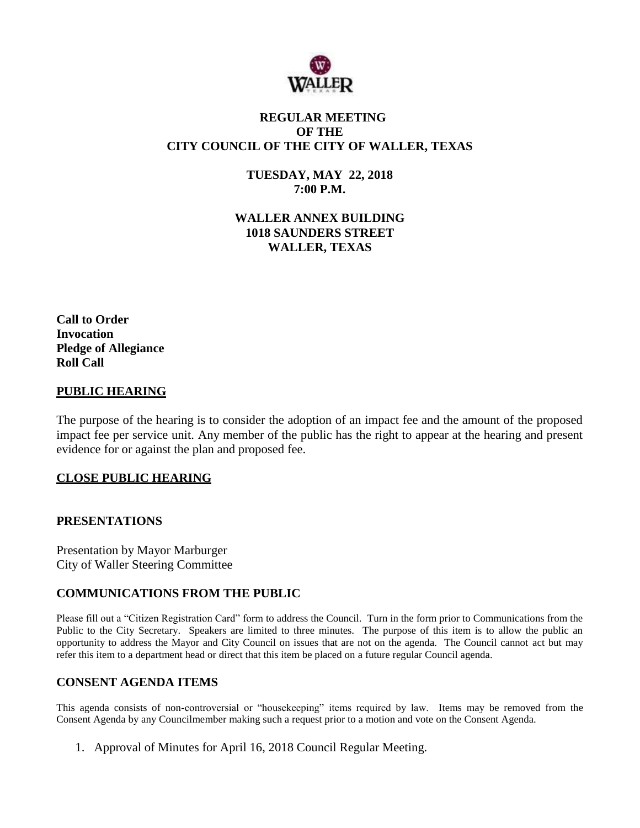

# **REGULAR MEETING OF THE CITY COUNCIL OF THE CITY OF WALLER, TEXAS**

**TUESDAY, MAY 22, 2018 7:00 P.M.**

**WALLER ANNEX BUILDING 1018 SAUNDERS STREET WALLER, TEXAS**

**Call to Order Invocation Pledge of Allegiance Roll Call**

#### **PUBLIC HEARING**

The purpose of the hearing is to consider the adoption of an impact fee and the amount of the proposed impact fee per service unit. Any member of the public has the right to appear at the hearing and present evidence for or against the plan and proposed fee.

### **CLOSE PUBLIC HEARING**

#### **PRESENTATIONS**

Presentation by Mayor Marburger City of Waller Steering Committee

### **COMMUNICATIONS FROM THE PUBLIC**

Please fill out a "Citizen Registration Card" form to address the Council. Turn in the form prior to Communications from the Public to the City Secretary. Speakers are limited to three minutes. The purpose of this item is to allow the public an opportunity to address the Mayor and City Council on issues that are not on the agenda. The Council cannot act but may refer this item to a department head or direct that this item be placed on a future regular Council agenda.

### **CONSENT AGENDA ITEMS**

This agenda consists of non-controversial or "housekeeping" items required by law. Items may be removed from the Consent Agenda by any Councilmember making such a request prior to a motion and vote on the Consent Agenda.

1. Approval of Minutes for April 16, 2018 Council Regular Meeting.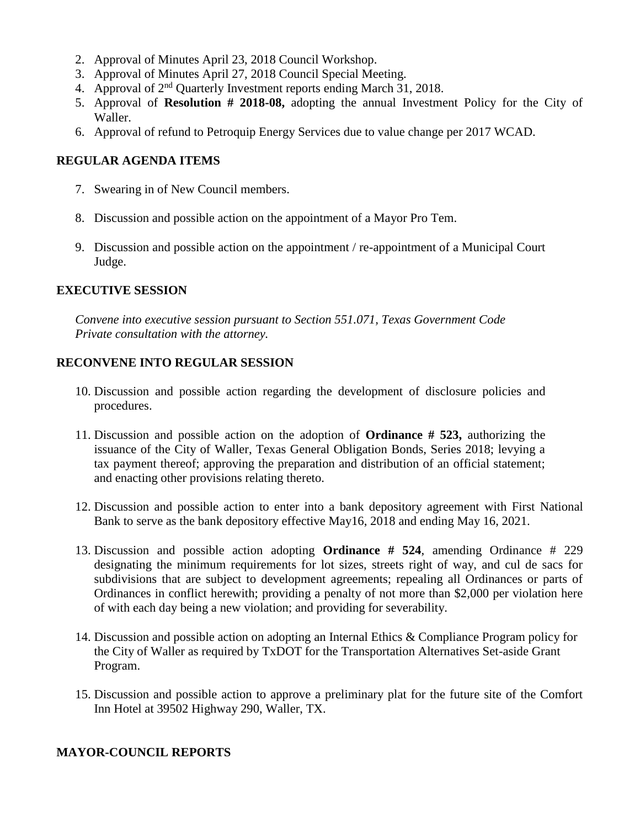- 2. Approval of Minutes April 23, 2018 Council Workshop.
- 3. Approval of Minutes April 27, 2018 Council Special Meeting.
- 4. Approval of 2nd Quarterly Investment reports ending March 31, 2018.
- 5. Approval of **Resolution # 2018-08,** adopting the annual Investment Policy for the City of Waller.
- 6. Approval of refund to Petroquip Energy Services due to value change per 2017 WCAD.

# **REGULAR AGENDA ITEMS**

- 7. Swearing in of New Council members.
- 8. Discussion and possible action on the appointment of a Mayor Pro Tem.
- 9. Discussion and possible action on the appointment / re-appointment of a Municipal Court Judge.

### **EXECUTIVE SESSION**

*Convene into executive session pursuant to Section 551.071, Texas Government Code Private consultation with the attorney.*

### **RECONVENE INTO REGULAR SESSION**

- 10. Discussion and possible action regarding the development of disclosure policies and procedures.
- 11. Discussion and possible action on the adoption of **Ordinance # 523,** authorizing the issuance of the City of Waller, Texas General Obligation Bonds, Series 2018; levying a tax payment thereof; approving the preparation and distribution of an official statement; and enacting other provisions relating thereto.
- 12. Discussion and possible action to enter into a bank depository agreement with First National Bank to serve as the bank depository effective May16, 2018 and ending May 16, 2021.
- 13. Discussion and possible action adopting **Ordinance # 524**, amending Ordinance # 229 designating the minimum requirements for lot sizes, streets right of way, and cul de sacs for subdivisions that are subject to development agreements; repealing all Ordinances or parts of Ordinances in conflict herewith; providing a penalty of not more than \$2,000 per violation here of with each day being a new violation; and providing for severability.
- 14. Discussion and possible action on adopting an Internal Ethics & Compliance Program policy for the City of Waller as required by TxDOT for the Transportation Alternatives Set-aside Grant Program.
- 15. Discussion and possible action to approve a preliminary plat for the future site of the Comfort Inn Hotel at 39502 Highway 290, Waller, TX.

### **MAYOR-COUNCIL REPORTS**